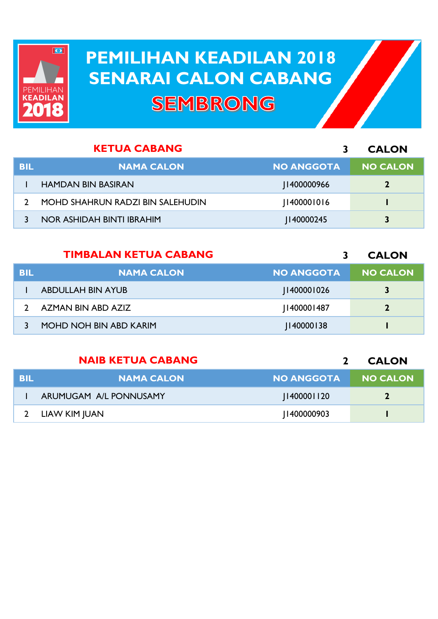

## **PEMILIHAN KEADILAN 2018 PEMILIHAN KEADILAN 2018 SENARAI CALON CABANG SENARAI CALON CABANGSEMBRONG**

|     | <b>KETUA CABANG</b>                     |                   | <b>CALON</b>    |
|-----|-----------------------------------------|-------------------|-----------------|
| BIL | <b>NAMA CALON</b>                       | <b>NO ANGGOTA</b> | <b>NO CALON</b> |
|     | <b>HAMDAN BIN BASIRAN</b>               | 1400000966        |                 |
|     | <b>MOHD SHAHRUN RADZI BIN SALEHUDIN</b> | 11400001016       |                 |
|     | NOR ASHIDAH BINTI IBRAHIM               | 140000245         | 3               |

|            | <b>TIMBALAN KETUA CABANG</b> |                   | <b>CALON</b>    |
|------------|------------------------------|-------------------|-----------------|
| <b>BIL</b> | <b>NAMA CALON</b>            | <b>NO ANGGOTA</b> | <b>NO CALON</b> |
|            | <b>ABDULLAH BIN AYUB</b>     | 1400001026        | 3               |
|            | AZMAN BIN ABD AZIZ           | 1400001487        | $\mathbf 2$     |
|            | MOHD NOH BIN ABD KARIM       | 1140000138        |                 |

## **NAIB KETUA CABANG**

**2 CALON**

| BIL | <b>NAMA CALON</b>      | <b>NO ANGGOTA</b> | <b>NO CALON</b> |
|-----|------------------------|-------------------|-----------------|
|     | ARUMUGAM A/L PONNUSAMY | 1400001120        | 2               |
|     | LIAW KIM JUAN          | 1400000903        |                 |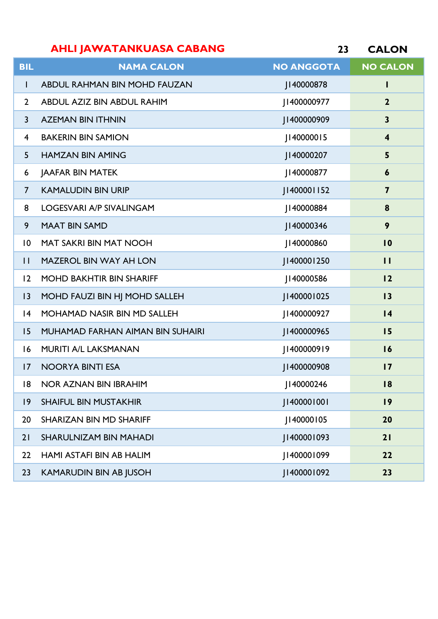## **CALON AHLI JAWATANKUASA CABANG**

| <b>BIL</b>     | <b>NAMA CALON</b>                  | <b>NO ANGGOTA</b> | <b>NO CALON</b>         |
|----------------|------------------------------------|-------------------|-------------------------|
| T              | ABDUL RAHMAN BIN MOHD FAUZAN       | J140000878        | L                       |
| $\overline{2}$ | <b>ABDUL AZIZ BIN ABDUL RAHIM</b>  | 1400000977        | $\mathbf{2}$            |
| $\mathsf{3}$   | <b>AZEMAN BIN ITHNIN</b>           | J1400000909       | $\mathbf{3}$            |
| 4              | <b>BAKERIN BIN SAMION</b>          | J140000015        | $\overline{\mathbf{4}}$ |
| 5              | <b>HAMZAN BIN AMING</b>            | J140000207        | 5                       |
| 6              | <b>JAAFAR BIN MATEK</b>            | J140000877        | 6                       |
| $\overline{7}$ | <b>KAMALUDIN BIN URIP</b>          | J1400001152       | $\overline{\mathbf{z}}$ |
| 8              | <b>LOGESVARI A/P SIVALINGAM</b>    | J140000884        | 8                       |
| 9              | <b>MAAT BIN SAMD</b>               | J140000346        | 9                       |
| $\overline{0}$ | <b>MAT SAKRI BIN MAT NOOH</b>      | J140000860        | 10                      |
| $\mathbf{H}$   | <b>MAZEROL BIN WAY AH LON</b>      | 140000   250      | $\mathbf{H}$            |
| 12             | <b>MOHD BAKHTIR BIN SHARIFF</b>    | J140000586        | 12                      |
| 3              | MOHD FAUZI BIN HJ MOHD SALLEH      | J1400001025       | 13                      |
| 4              | <b>MOHAMAD NASIR BIN MD SALLEH</b> | J1400000927       | $\overline{14}$         |
| 15             | MUHAMAD FARHAN AIMAN BIN SUHAIRI   | J1400000965       | 15                      |
| 16             | MURITI A/L LAKSMANAN               | J1400000919       | 16                      |
| 17             | <b>NOORYA BINTI ESA</b>            | J1400000908       | $\overline{17}$         |
| 8              | NOR AZNAN BIN IBRAHIM              | J140000246        | 18                      |
| $ 9\rangle$    | <b>SHAIFUL BIN MUSTAKHIR</b>       | J1400001001       | 19                      |
| 20             | SHARIZAN BIN MD SHARIFF            | J140000105        | 20                      |
| 21             | <b>SHARULNIZAM BIN MAHADI</b>      | 1400001093        | 21                      |
| 22             | HAMI ASTAFI BIN AB HALIM           | J1400001099       | 22                      |
| 23             | <b>KAMARUDIN BIN AB JUSOH</b>      | J1400001092       | 23                      |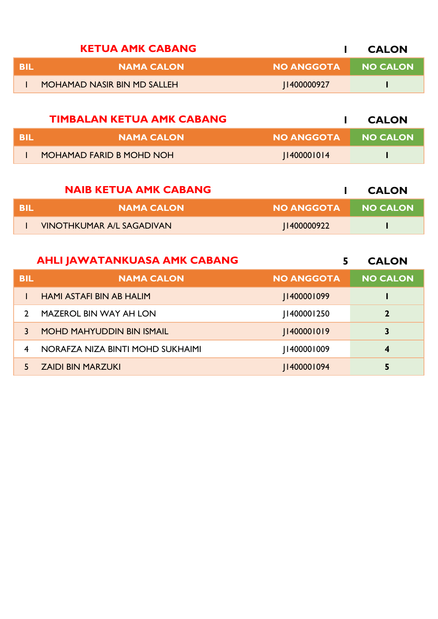|        | <b>KETUA AMK CABANG</b>     |                     | <b>CALON</b> |
|--------|-----------------------------|---------------------|--------------|
| - BIII | <b>NAMA CALON</b>           | NO ANGGOTA NO CALON |              |
|        | MOHAMAD NASIR BIN MD SALLEH | 1400000927          |              |

|      | <b>TIMBALAN KETUA AMK CABANG</b> |            | <b>CALON</b>    |
|------|----------------------------------|------------|-----------------|
| -BIL | I NAMA CALON '                   | NO ANGGOTA | <b>NO CALON</b> |
|      | MOHAMAD FARID B MOHD NOH         | 1400001014 |                 |

|     | <b>NAIB KETUA AMK CABANG</b> |            | <b>CALON</b> |
|-----|------------------------------|------------|--------------|
| BIL | <b>NAMA CALON</b>            | NO ANGGOTA | NO CALON     |
|     | VINOTHKUMAR A/L SAGADIVAN    | 1400000922 |              |

|               | <b>AHLI JAWATANKUASA AMK CABANG</b> |                   | <b>CALON</b>     |
|---------------|-------------------------------------|-------------------|------------------|
| <b>BIL</b>    | <b>NAMA CALON</b>                   | <b>NO ANGGOTA</b> | <b>NO CALON</b>  |
|               | <b>HAMI ASTAFI BIN AB HALIM</b>     | 1400001099        |                  |
| $\mathcal{L}$ | <b>MAZEROL BIN WAY AH LON</b>       | 140000   250      | $\mathbf{2}$     |
|               | <b>MOHD MAHYUDDIN BIN ISMAIL</b>    | 11400001019       | 3                |
| 4             | NORAFZA NIZA BINTI MOHD SUKHAIMI    | 140000 1009       | $\boldsymbol{4}$ |
|               | <b>ZAIDI BIN MARZUKI</b>            | 140000 1094       | 5                |